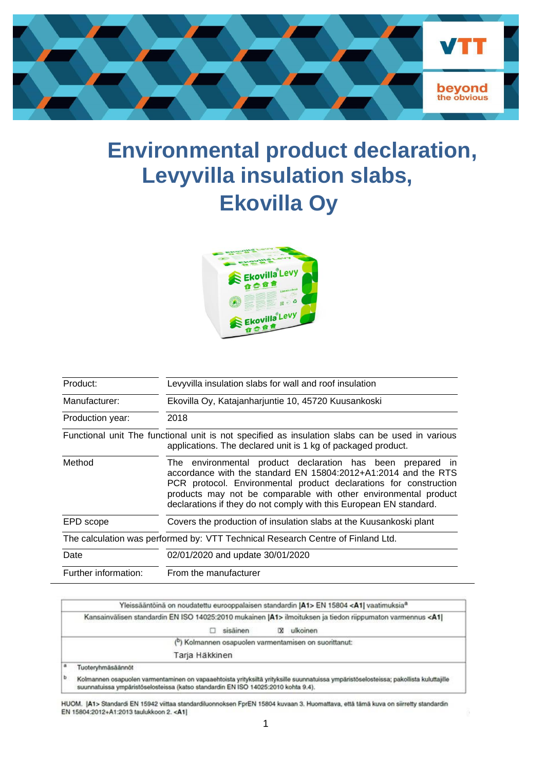

# **Environmental product declaration, Levyvilla insulation slabs, Ekovilla Oy**



| Product:             | Levyvilla insulation slabs for wall and roof insulation                                                                                                                                                                                                                                                                                    |  |  |  |  |  |  |  |
|----------------------|--------------------------------------------------------------------------------------------------------------------------------------------------------------------------------------------------------------------------------------------------------------------------------------------------------------------------------------------|--|--|--|--|--|--|--|
| Manufacturer:        | Ekovilla Oy, Katajanharjuntie 10, 45720 Kuusankoski                                                                                                                                                                                                                                                                                        |  |  |  |  |  |  |  |
| Production year:     | 2018                                                                                                                                                                                                                                                                                                                                       |  |  |  |  |  |  |  |
|                      | Functional unit The functional unit is not specified as insulation slabs can be used in various<br>applications. The declared unit is 1 kg of packaged product.                                                                                                                                                                            |  |  |  |  |  |  |  |
| Method               | The environmental product declaration has been prepared in<br>accordance with the standard EN 15804:2012+A1:2014 and the RTS<br>PCR protocol. Environmental product declarations for construction<br>products may not be comparable with other environmental product<br>declarations if they do not comply with this European EN standard. |  |  |  |  |  |  |  |
| EPD scope            | Covers the production of insulation slabs at the Kuusankoski plant                                                                                                                                                                                                                                                                         |  |  |  |  |  |  |  |
|                      | The calculation was performed by: VTT Technical Research Centre of Finland Ltd.                                                                                                                                                                                                                                                            |  |  |  |  |  |  |  |
| Date                 | 02/01/2020 and update 30/01/2020                                                                                                                                                                                                                                                                                                           |  |  |  |  |  |  |  |
| Further information: | From the manufacturer                                                                                                                                                                                                                                                                                                                      |  |  |  |  |  |  |  |

|     | Yleissääntöinä on noudatettu eurooppalaisen standardin (A1> EN 15804 <a1) vaatimuksia<sup="">a</a1)>                                                                                                                       |
|-----|----------------------------------------------------------------------------------------------------------------------------------------------------------------------------------------------------------------------------|
|     | Kansainvälisen standardin EN ISO 14025:2010 mukainen  A1> ilmoituksen ja tiedon riippumaton varmennus <a1 < th=""></a1 <>                                                                                                  |
|     | ulkoinen<br>sisäinen                                                                                                                                                                                                       |
|     | (b) Kolmannen osapuolen varmentamisen on suorittanut:                                                                                                                                                                      |
|     | Tarja Häkkinen                                                                                                                                                                                                             |
| l a | Tuoteryhmäsäännöt                                                                                                                                                                                                          |
| b   | Kolmannen osapuolen varmentaminen on vapaaehtoista yrityksiltä yrityksille suunnatuissa ympäristöselosteissa; pakollista kuluttajille<br>suunnatuissa ympäristöselosteissa (katso standardin EN ISO 14025:2010 kohta 9.4). |

HUOM. | A1> Standardi EN 15942 viittaa standardiluonnoksen FprEN 15804 kuvaan 3. Huomattava, että tämä kuva on siirretty standardin EN 15804:2012+A1:2013 taulukkoon 2. < A1

 $\overline{1}$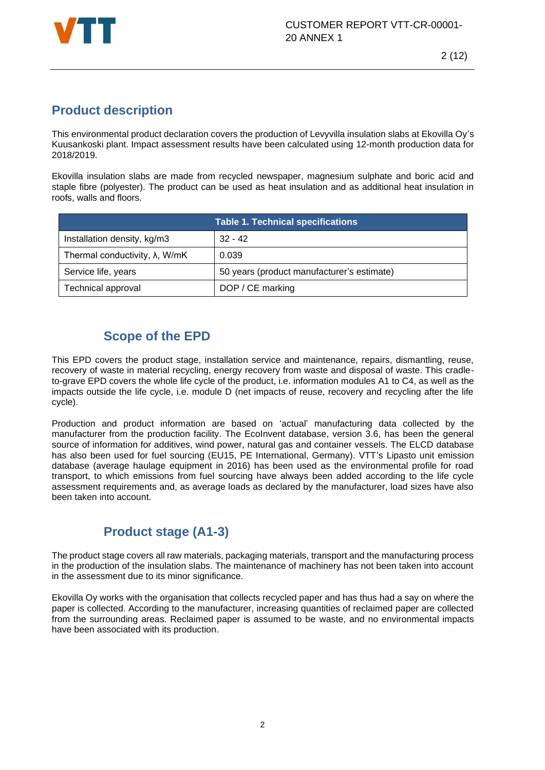

## **Product description**

This environmental product declaration covers the production of Levyvilla insulation slabs at Ekovilla Oy's Kuusankoski plant. Impact assessment results have been calculated using 12-month production data for 2018/2019.

Ekovilla insulation slabs are made from recycled newspaper, magnesium sulphate and boric acid and staple fibre (polyester). The product can be used as heat insulation and as additional heat insulation in roofs, walls and floors.

|                                        | <b>Table 1. Technical specifications</b>   |
|----------------------------------------|--------------------------------------------|
| Installation density, kg/m3            | $32 - 42$                                  |
| Thermal conductivity, $\lambda$ , W/mK | 0.039                                      |
| Service life, years                    | 50 years (product manufacturer's estimate) |
| <b>Technical approval</b>              | DOP / CE marking                           |

## **Scope of the EPD**

This EPD covers the product stage, installation service and maintenance, repairs, dismantling, reuse, recovery of waste in material recycling, energy recovery from waste and disposal of waste. This cradleto-grave EPD covers the whole life cycle of the product, i.e. information modules A1 to C4, as well as the impacts outside the life cycle, i.e. module D (net impacts of reuse, recovery and recycling after the life cycle).

Production and product information are based on 'actual' manufacturing data collected by the manufacturer from the production facility. The EcoInvent database, version 3.6, has been the general source of information for additives, wind power, natural gas and container vessels. The ELCD database has also been used for fuel sourcing (EU15, PE International, Germany). VTT's Lipasto unit emission database (average haulage equipment in 2016) has been used as the environmental profile for road transport, to which emissions from fuel sourcing have always been added according to the life cycle assessment requirements and, as average loads as declared by the manufacturer, load sizes have also been taken into account.

## **Product stage (A1-3)**

The product stage covers all raw materials, packaging materials, transport and the manufacturing process in the production of the insulation slabs. The maintenance of machinery has not been taken into account in the assessment due to its minor significance.

Ekovilla Oy works with the organisation that collects recycled paper and has thus had a say on where the paper is collected. According to the manufacturer, increasing quantities of reclaimed paper are collected from the surrounding areas. Reclaimed paper is assumed to be waste, and no environmental impacts have been associated with its production.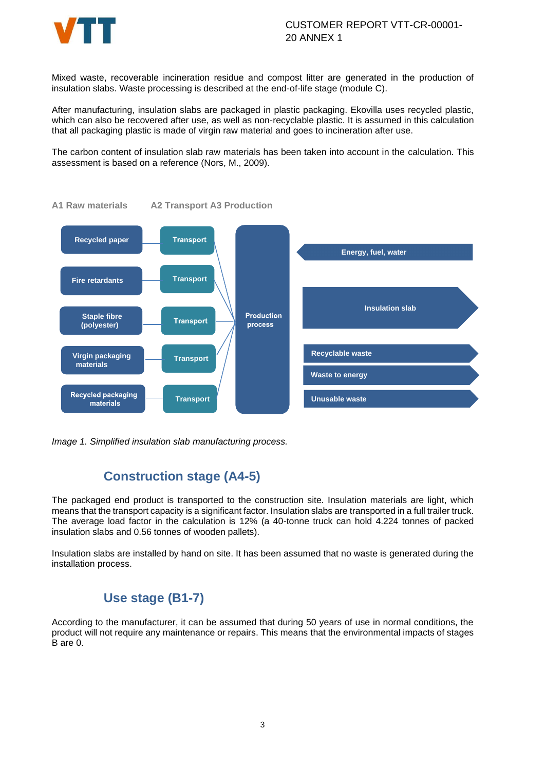

Mixed waste, recoverable incineration residue and compost litter are generated in the production of insulation slabs. Waste processing is described at the end-of-life stage (module C).

After manufacturing, insulation slabs are packaged in plastic packaging. Ekovilla uses recycled plastic, which can also be recovered after use, as well as non-recyclable plastic. It is assumed in this calculation that all packaging plastic is made of virgin raw material and goes to incineration after use.

The carbon content of insulation slab raw materials has been taken into account in the calculation. This assessment is based on a reference (Nors, M., 2009).



**A1 Raw materials A2 Transport A3 Production**

*Image 1. Simplified insulation slab manufacturing process.*

#### **Construction stage (A4-5)**

The packaged end product is transported to the construction site. Insulation materials are light, which means that the transport capacity is a significant factor. Insulation slabs are transported in a full trailer truck. The average load factor in the calculation is 12% (a 40-tonne truck can hold 4.224 tonnes of packed insulation slabs and 0.56 tonnes of wooden pallets).

Insulation slabs are installed by hand on site. It has been assumed that no waste is generated during the installation process.

#### **Use stage (B1-7)**

According to the manufacturer, it can be assumed that during 50 years of use in normal conditions, the product will not require any maintenance or repairs. This means that the environmental impacts of stages B are 0.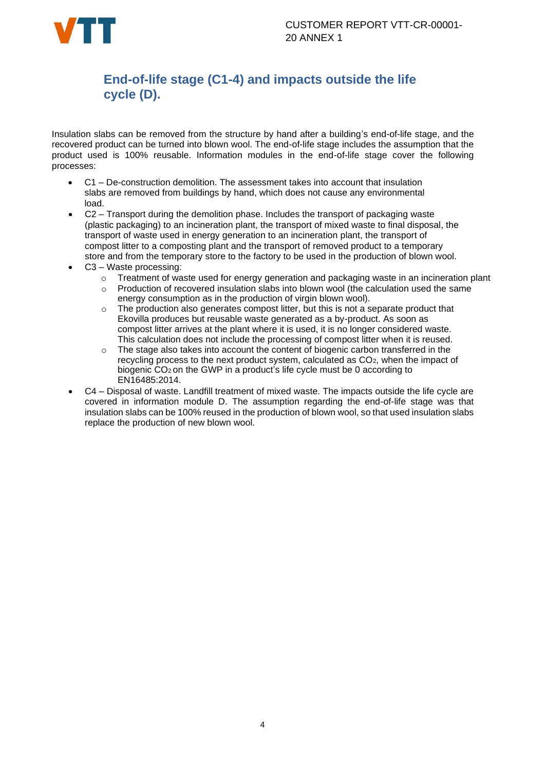

## **End-of-life stage (C1-4) and impacts outside the life cycle (D).**

Insulation slabs can be removed from the structure by hand after a building's end-of-life stage, and the recovered product can be turned into blown wool. The end-of-life stage includes the assumption that the product used is 100% reusable. Information modules in the end-of-life stage cover the following processes:

- C1 De-construction demolition. The assessment takes into account that insulation slabs are removed from buildings by hand, which does not cause any environmental load.
- C2 Transport during the demolition phase. Includes the transport of packaging waste (plastic packaging) to an incineration plant, the transport of mixed waste to final disposal, the transport of waste used in energy generation to an incineration plant, the transport of compost litter to a composting plant and the transport of removed product to a temporary store and from the temporary store to the factory to be used in the production of blown wool.
- C3 Waste processing:
	- o Treatment of waste used for energy generation and packaging waste in an incineration plant
	- o Production of recovered insulation slabs into blown wool (the calculation used the same energy consumption as in the production of virgin blown wool).
	- $\circ$  The production also generates compost litter, but this is not a separate product that Ekovilla produces but reusable waste generated as a by-product. As soon as compost litter arrives at the plant where it is used, it is no longer considered waste. This calculation does not include the processing of compost litter when it is reused.
	- $\circ$  The stage also takes into account the content of biogenic carbon transferred in the recycling process to the next product system, calculated as CO<sub>2</sub>, when the impact of biogenic CO<sup>2</sup> on the GWP in a product's life cycle must be 0 according to EN16485:2014.
- C4 Disposal of waste. Landfill treatment of mixed waste. The impacts outside the life cycle are covered in information module D. The assumption regarding the end-of-life stage was that insulation slabs can be 100% reused in the production of blown wool, so that used insulation slabs replace the production of new blown wool.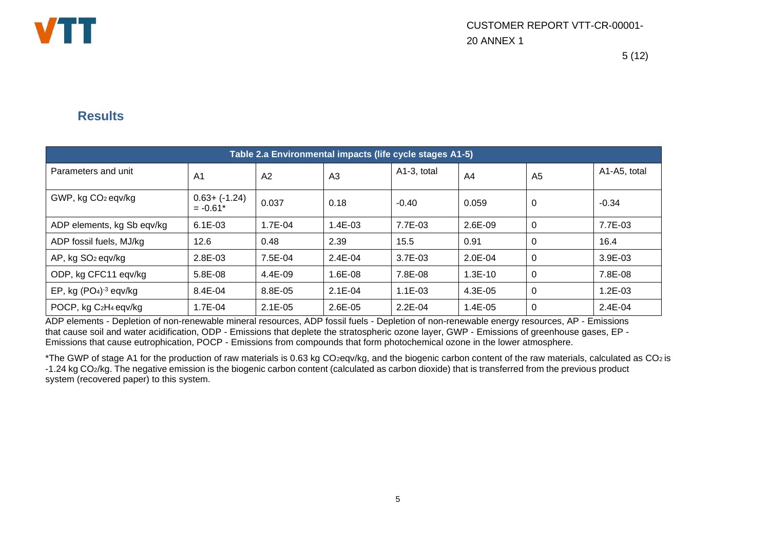

### **Results**

| Table 2.a Environmental impacts (life cycle stages A1-5) |                                |                |                |             |           |                |              |  |  |
|----------------------------------------------------------|--------------------------------|----------------|----------------|-------------|-----------|----------------|--------------|--|--|
| Parameters and unit                                      | A <sub>1</sub>                 | A <sub>2</sub> | A <sub>3</sub> | A1-3, total | A4        | A <sub>5</sub> | A1-A5, total |  |  |
| GWP, kg CO <sub>2</sub> eqv/kg                           | $0.63 + (-1.24)$<br>$= -0.61*$ | 0.037          | 0.18           | $-0.40$     | 0.059     | 0              | $-0.34$      |  |  |
| ADP elements, kg Sb eqv/kg                               | $6.1E-03$                      | 1.7E-04        | 1.4E-03        | 7.7E-03     | 2.6E-09   | $\Omega$       | 7.7E-03      |  |  |
| ADP fossil fuels, MJ/kg                                  | 12.6                           | 0.48           | 2.39           | 15.5        | 0.91      | $\Omega$       | 16.4         |  |  |
| AP, kg SO <sub>2</sub> eqv/kg                            | 2.8E-03                        | 7.5E-04        | $2.4E - 04$    | 3.7E-03     | $2.0E-04$ | $\Omega$       | 3.9E-03      |  |  |
| ODP, kg CFC11 eqv/kg                                     | 5.8E-08                        | 4.4E-09        | 1.6E-08        | 7.8E-08     | $1.3E-10$ | $\Omega$       | 7.8E-08      |  |  |
| EP, kg $(PO4)-3$ eqv/kg                                  | 8.4E-04                        | 8.8E-05        | $2.1E-04$      | $1.1E-03$   | 4.3E-05   | $\Omega$       | 1.2E-03      |  |  |
| POCP, kg C <sub>2</sub> H <sub>4</sub> eqv/kg            | 1.7E-04                        | $2.1E-05$      | 2.6E-05        | $2.2E-04$   | 1.4E-05   | $\Omega$       | 2.4E-04      |  |  |

ADP elements - Depletion of non-renewable mineral resources, ADP fossil fuels - Depletion of non-renewable energy resources, AP - Emissions that cause soil and water acidification, ODP - Emissions that deplete the stratospheric ozone layer, GWP - Emissions of greenhouse gases, EP - Emissions that cause eutrophication, POCP - Emissions from compounds that form photochemical ozone in the lower atmosphere.

\*The GWP of stage A1 for the production of raw materials is 0.63 kg CO2eqv/kg, and the biogenic carbon content of the raw materials, calculated as CO<sup>2</sup> is -1.24 kg CO2/kg. The negative emission is the biogenic carbon content (calculated as carbon dioxide) that is transferred from the previous product system (recovered paper) to this system.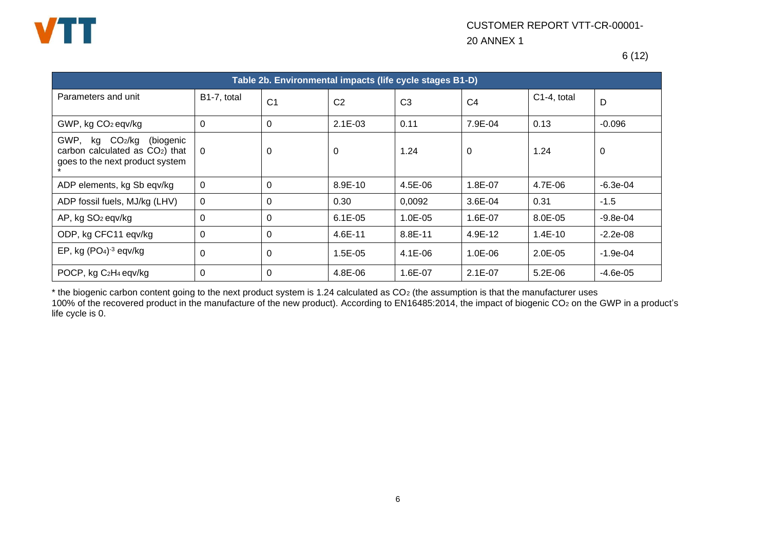

6 (12)

| Table 2b. Environmental impacts (life cycle stages B1-D)                                                         |             |                |                |                |                |              |            |  |  |
|------------------------------------------------------------------------------------------------------------------|-------------|----------------|----------------|----------------|----------------|--------------|------------|--|--|
| Parameters and unit                                                                                              | B1-7, total | C <sub>1</sub> | C <sub>2</sub> | C <sub>3</sub> | C <sub>4</sub> | C1-4, total  | D          |  |  |
| GWP, kg CO <sub>2</sub> eqv/kg                                                                                   | 0           | $\mathbf 0$    | $2.1E-03$      | 0.11           | 7.9E-04        | 0.13         | $-0.096$   |  |  |
| (biogenic<br>GWP,<br>kg CO2/kg<br>carbon calculated as CO <sub>2</sub> ) that<br>goes to the next product system | $\Omega$    | 0              | $\Omega$       | 1.24           | 0              | 1.24         | 0          |  |  |
| ADP elements, kg Sb eqv/kg                                                                                       | $\mathbf 0$ | $\mathbf 0$    | 8.9E-10        | 4.5E-06        | 1.8E-07        | 4.7E-06      | $-6.3e-04$ |  |  |
| ADP fossil fuels, MJ/kg (LHV)                                                                                    | $\mathbf 0$ | $\Omega$       | 0.30           | 0,0092         | $3.6E - 04$    | 0.31         | $-1.5$     |  |  |
| AP, kg SO <sub>2</sub> eqv/kg                                                                                    | $\Omega$    | $\Omega$       | $6.1E-05$      | $1.0E - 0.5$   | 1.6E-07        | $8.0E - 0.5$ | $-9.8e-04$ |  |  |
| ODP, kg CFC11 eqv/kg                                                                                             | 0           | $\mathbf 0$    | 4.6E-11        | 8.8E-11        | 4.9E-12        | $1.4E-10$    | $-2.2e-08$ |  |  |
| EP, kg (PO <sub>4</sub> ) <sup>-3</sup> eqv/kg                                                                   | 0           | 0              | 1.5E-05        | $4.1E-06$      | $1.0E - 06$    | $2.0E-05$    | $-1.9e-04$ |  |  |
| POCP, kg C <sub>2</sub> H <sub>4</sub> eqv/kg                                                                    | 0           | $\Omega$       | 4.8E-06        | 1.6E-07        | $2.1E-07$      | $5.2E-06$    | $-4.6e-05$ |  |  |

\* the biogenic carbon content going to the next product system is 1.24 calculated as CO<sup>2</sup> (the assumption is that the manufacturer uses 100% of the recovered product in the manufacture of the new product). According to EN16485:2014, the impact of biogenic CO2 on the GWP in a product's

life cycle is 0.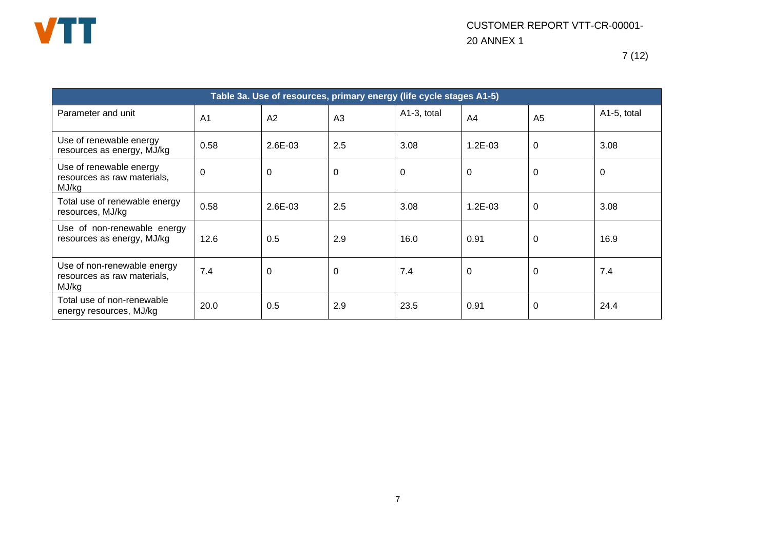

| Table 3a. Use of resources, primary energy (life cycle stages A1-5) |                |         |                |             |           |                |             |  |  |
|---------------------------------------------------------------------|----------------|---------|----------------|-------------|-----------|----------------|-------------|--|--|
| Parameter and unit                                                  | A <sub>1</sub> | A2      | A <sub>3</sub> | A1-3, total | A4        | A <sub>5</sub> | A1-5, total |  |  |
| Use of renewable energy<br>resources as energy, MJ/kg               | 0.58           | 2.6E-03 | 2.5            | 3.08        | $1.2E-03$ | $\mathbf 0$    | 3.08        |  |  |
| Use of renewable energy<br>resources as raw materials,<br>MJ/kg     | 0              | 0       | $\Omega$       | 0           | 0         | $\mathbf 0$    | $\Omega$    |  |  |
| Total use of renewable energy<br>resources, MJ/kg                   | 0.58           | 2.6E-03 | 2.5            | 3.08        | $1.2E-03$ | $\mathbf 0$    | 3.08        |  |  |
| Use of non-renewable energy<br>resources as energy, MJ/kg           | 12.6           | 0.5     | 2.9            | 16.0        | 0.91      | $\mathbf 0$    | 16.9        |  |  |
| Use of non-renewable energy<br>resources as raw materials,<br>MJ/kg | 7.4            | 0       | $\Omega$       | 7.4         | 0         | $\mathbf 0$    | 7.4         |  |  |
| Total use of non-renewable<br>energy resources, MJ/kg               | 20.0           | 0.5     | 2.9            | 23.5        | 0.91      | 0              | 24.4        |  |  |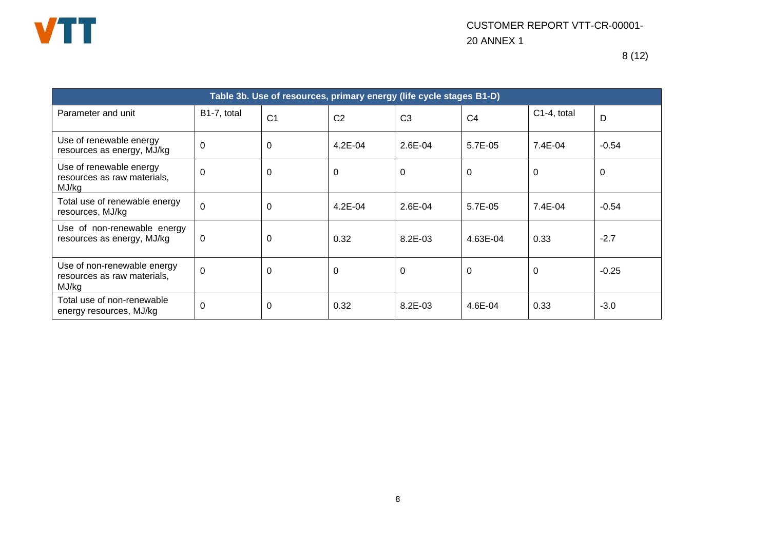

| Table 3b. Use of resources, primary energy (life cycle stages B1-D) |                |                |                |                |                |             |          |  |
|---------------------------------------------------------------------|----------------|----------------|----------------|----------------|----------------|-------------|----------|--|
| Parameter and unit                                                  | B1-7, total    | C <sub>1</sub> | C <sub>2</sub> | C <sub>3</sub> | C <sub>4</sub> | C1-4, total | D        |  |
| Use of renewable energy<br>resources as energy, MJ/kg               | $\mathbf 0$    | 0              | $4.2E - 04$    | $2.6E - 04$    | 5.7E-05        | 7.4E-04     | $-0.54$  |  |
| Use of renewable energy<br>resources as raw materials,<br>MJ/kg     | $\mathbf 0$    | 0              | $\overline{0}$ | $\Omega$       | 0              | $\Omega$    | $\Omega$ |  |
| Total use of renewable energy<br>resources, MJ/kg                   | $\overline{0}$ | 0              | $4.2E - 04$    | $2.6E - 04$    | 5.7E-05        | 7.4E-04     | $-0.54$  |  |
| Use of non-renewable energy<br>resources as energy, MJ/kg           | 0              | 0              | 0.32           | $8.2E - 03$    | 4.63E-04       | 0.33        | $-2.7$   |  |
| Use of non-renewable energy<br>resources as raw materials.<br>MJ/kg | $\overline{0}$ | $\Omega$       | $\Omega$       | $\Omega$       | 0              | $\Omega$    | $-0.25$  |  |
| Total use of non-renewable<br>energy resources, MJ/kg               | $\mathbf 0$    | 0              | 0.32           | 8.2E-03        | 4.6E-04        | 0.33        | $-3.0$   |  |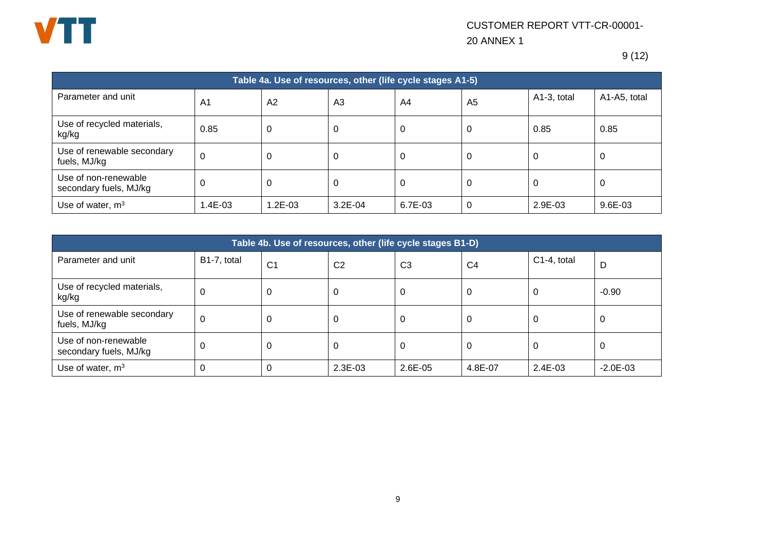

9 (12)

| Table 4a. Use of resources, other (life cycle stages A1-5) |                |         |                |         |                |             |              |  |  |  |
|------------------------------------------------------------|----------------|---------|----------------|---------|----------------|-------------|--------------|--|--|--|
| Parameter and unit                                         | A <sub>1</sub> | A2      | A <sub>3</sub> | A4      | A <sub>5</sub> | A1-3, total | A1-A5, total |  |  |  |
| Use of recycled materials,<br>kg/kg                        | 0.85           | 0       | -0             | 0       | 0              | 0.85        | 0.85         |  |  |  |
| Use of renewable secondary<br>fuels, MJ/kg                 | 0              | 0       | -0             | 0       | 0              | 0           | 0            |  |  |  |
| Use of non-renewable<br>secondary fuels, MJ/kg             | 0              | 0       | -0             | 0       | 0              | υ           | 0            |  |  |  |
| Use of water, $m3$                                         | .4E-03         | 1.2E-03 | $3.2E-04$      | 6.7E-03 | 0              | 2.9E-03     | 9.6E-03      |  |  |  |

| Table 4b. Use of resources, other (life cycle stages B1-D) |             |                |                |                |                |             |              |  |  |
|------------------------------------------------------------|-------------|----------------|----------------|----------------|----------------|-------------|--------------|--|--|
| Parameter and unit                                         | B1-7, total | C <sub>1</sub> | C <sub>2</sub> | C <sub>3</sub> | C <sub>4</sub> | C1-4, total | D            |  |  |
| Use of recycled materials,<br>kg/kg                        | C           | 0              | 0              | 0              | U              | U           | $-0.90$      |  |  |
| Use of renewable secondary<br>fuels, MJ/kg                 | 0           | 0              | 0              | 0              | U              | U           | U            |  |  |
| Use of non-renewable<br>secondary fuels, MJ/kg             | 0           | 0              | 0              |                | U              | U           | U            |  |  |
| Use of water, $m3$                                         |             | 0              | 2.3E-03        | $2.6E-05$      | 4.8E-07        | 2.4E-03     | $-2.0E - 03$ |  |  |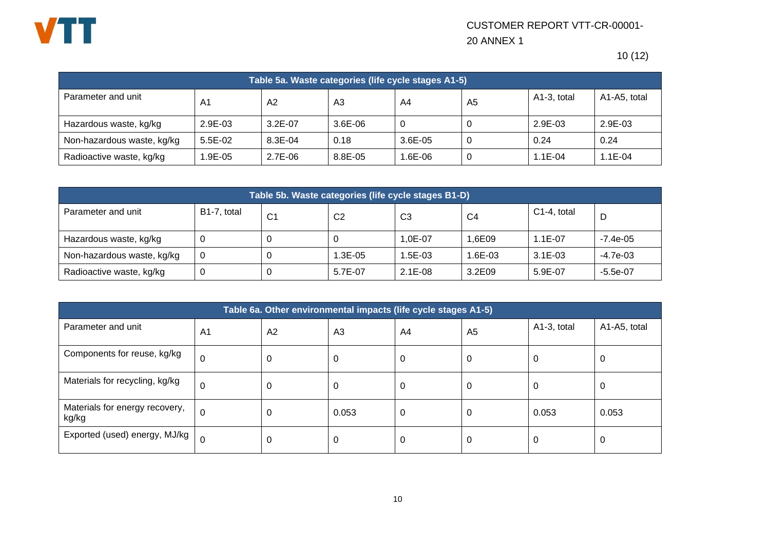

10 (12)

| Table 5a. Waste categories (life cycle stages A1-5) |                |                |           |              |    |             |              |  |  |
|-----------------------------------------------------|----------------|----------------|-----------|--------------|----|-------------|--------------|--|--|
| Parameter and unit                                  | A <sub>1</sub> | A <sub>2</sub> | A3        | A4           | A5 | A1-3, total | A1-A5, total |  |  |
| Hazardous waste, kg/kg                              | $2.9E-03$      | $3.2E - 07$    | $3.6E-06$ | 0            |    | $2.9E-03$   | $2.9E - 03$  |  |  |
| Non-hazardous waste, kg/kg                          | 5.5E-02        | 8.3E-04        | 0.18      | $3.6E - 0.5$ |    | 0.24        | 0.24         |  |  |
| Radioactive waste, kg/kg                            | 1.9E-05        | $2.7E-06$      | 8.8E-05   | $.6E-06$     |    | 1.1E-04     | $.1E-04$     |  |  |

| Table 5b. Waste categories (life cycle stages B1-D) |             |                |                |           |         |                |            |  |  |
|-----------------------------------------------------|-------------|----------------|----------------|-----------|---------|----------------|------------|--|--|
| Parameter and unit                                  | B1-7, total | C <sub>1</sub> | C <sub>2</sub> | CЗ        | C4      | $C1-4$ , total | D          |  |  |
| Hazardous waste, kg/kg                              |             | U              | U              | 1.0E-07   | 1.6E09  | $1.1E - 07$    | $-7.4e-05$ |  |  |
| Non-hazardous waste, kg/kg                          | 0           |                | .3E-05         | .5E-03    | 1.6E-03 | $3.1E - 03$    | $-4.7e-03$ |  |  |
| Radioactive waste, kg/kg                            | υ           | υ              | 5.7E-07        | $2.1E-08$ | 3.2E09  | 5.9E-07        | $-5.5e-07$ |  |  |

| Table 6a. Other environmental impacts (life cycle stages A1-5) |          |                |                |    |                |             |              |  |  |  |
|----------------------------------------------------------------|----------|----------------|----------------|----|----------------|-------------|--------------|--|--|--|
| Parameter and unit                                             | A1       | A <sub>2</sub> | A <sub>3</sub> | A4 | A <sub>5</sub> | A1-3, total | A1-A5, total |  |  |  |
| Components for reuse, kg/kg                                    | 0        | U              | 0              | 0  | U              | -U          | υ            |  |  |  |
| Materials for recycling, kg/kg                                 | 0        | U              | 0              | 0  | U              | U           | U            |  |  |  |
| Materials for energy recovery,<br>kg/kg                        | $\Omega$ | U              | 0.053          | 0  | U              | 0.053       | 0.053        |  |  |  |
| Exported (used) energy, MJ/kg                                  |          | U              | 0              | 0  | J.             | U           | υ            |  |  |  |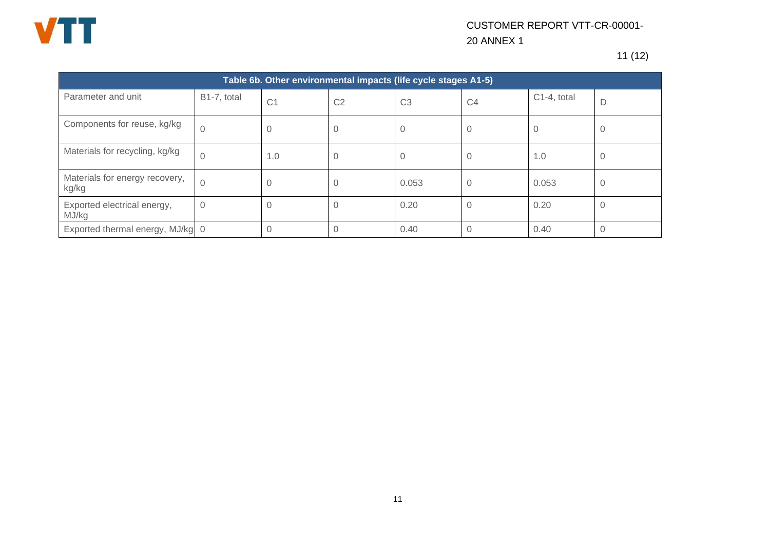

11 (12)

| Table 6b. Other environmental impacts (life cycle stages A1-5) |             |                |                |                |                |             |   |
|----------------------------------------------------------------|-------------|----------------|----------------|----------------|----------------|-------------|---|
| Parameter and unit                                             | B1-7, total | C <sub>1</sub> | C <sub>2</sub> | C <sub>3</sub> | C <sub>4</sub> | C1-4, total | D |
| Components for reuse, kg/kg                                    |             | 0              | 0              | O              |                |             | 0 |
| Materials for recycling, kg/kg                                 |             | 1.0            | U              | U              | U              | 1.0         | 0 |
| Materials for energy recovery,<br>kg/kg                        |             | 0              | 0              | 0.053          | 0              | 0.053       | 0 |
| Exported electrical energy,<br>MJ/kg                           | 0           | $\Omega$       | 0              | 0.20           | Ω              | 0.20        | 0 |
| Exported thermal energy, MJ/kg 0                               |             | $\Omega$       |                | 0.40           |                | 0.40        | 0 |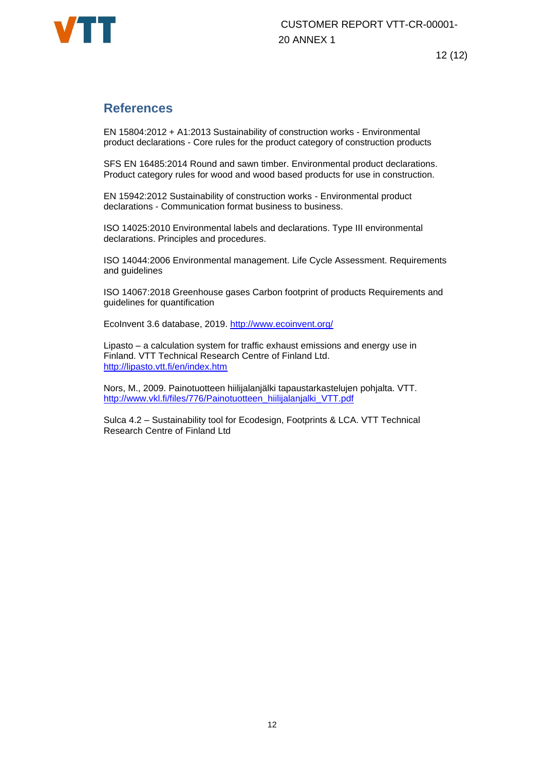

12 (12)

### **References**

EN 15804:2012 + A1:2013 Sustainability of construction works - Environmental product declarations - Core rules for the product category of construction products

SFS EN 16485:2014 Round and sawn timber. Environmental product declarations. Product category rules for wood and wood based products for use in construction.

EN 15942:2012 Sustainability of construction works - Environmental product declarations - Communication format business to business.

ISO 14025:2010 Environmental labels and declarations. Type III environmental declarations. Principles and procedures.

ISO 14044:2006 Environmental management. Life Cycle Assessment. Requirements and guidelines

ISO 14067:2018 Greenhouse gases Carbon footprint of products Requirements and guidelines for quantification

EcoInvent 3.6 database, 2019.<http://www.ecoinvent.org/>

Lipasto – a calculation system for traffic exhaust emissions and energy use in Finland. VTT Technical Research Centre of Finland Ltd. <http://lipasto.vtt.fi/en/index.htm>

Nors, M., 2009. Painotuotteen hiilijalanjälki tapaustarkastelujen pohjalta. VTT. [http://www.vkl.fi/files/776/Painotuotteen\\_hiilijalanjalki\\_VTT.pdf](http://www.vkl.fi/files/776/Painotuotteen_hiilijalanjalki_VTT.pdf)

Sulca 4.2 – Sustainability tool for Ecodesign, Footprints & LCA. VTT Technical Research Centre of Finland Ltd